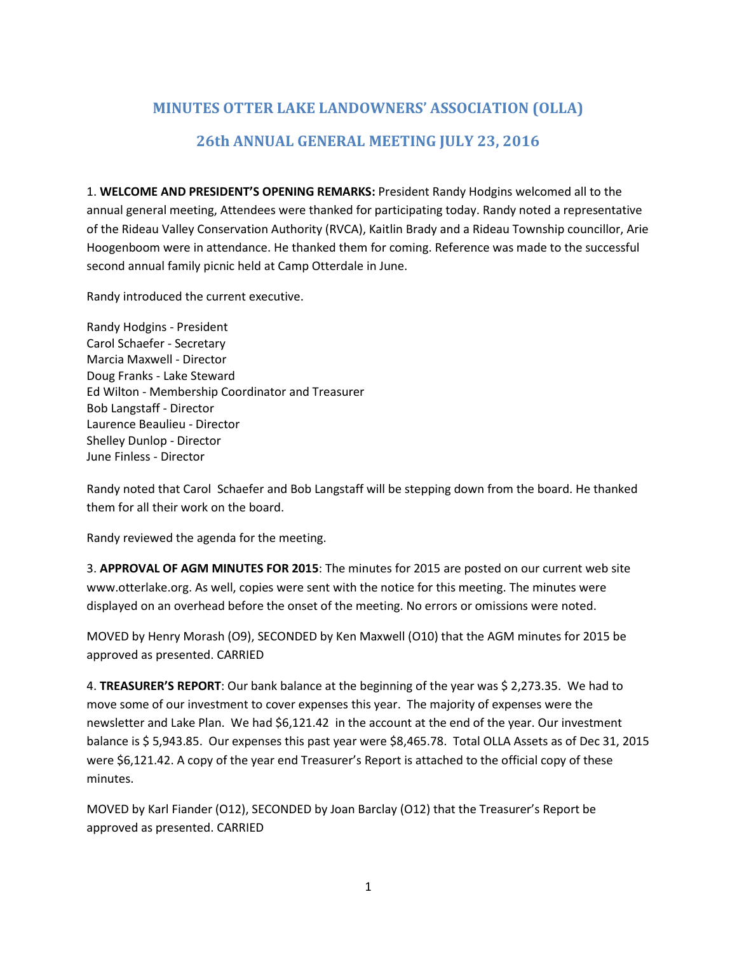# **MINUTES OTTER LAKE LANDOWNERS' ASSOCIATION (OLLA) 26th ANNUAL GENERAL MEETING JULY 23, 2016**

1. **WELCOME AND PRESIDENT'S OPENING REMARKS:** President Randy Hodgins welcomed all to the annual general meeting, Attendees were thanked for participating today. Randy noted a representative of the Rideau Valley Conservation Authority (RVCA), Kaitlin Brady and a Rideau Township councillor, Arie Hoogenboom were in attendance. He thanked them for coming. Reference was made to the successful second annual family picnic held at Camp Otterdale in June.

Randy introduced the current executive.

Randy Hodgins - President Carol Schaefer - Secretary Marcia Maxwell - Director Doug Franks - Lake Steward Ed Wilton - Membership Coordinator and Treasurer Bob Langstaff - Director Laurence Beaulieu - Director Shelley Dunlop - Director June Finless - Director

Randy noted that Carol Schaefer and Bob Langstaff will be stepping down from the board. He thanked them for all their work on the board.

Randy reviewed the agenda for the meeting.

3. **APPROVAL OF AGM MINUTES FOR 2015**: The minutes for 2015 are posted on our current web site www.otterlake.org. As well, copies were sent with the notice for this meeting. The minutes were displayed on an overhead before the onset of the meeting. No errors or omissions were noted.

MOVED by Henry Morash (O9), SECONDED by Ken Maxwell (O10) that the AGM minutes for 2015 be approved as presented. CARRIED

4. **TREASURER'S REPORT**: Our bank balance at the beginning of the year was \$ 2,273.35. We had to move some of our investment to cover expenses this year. The majority of expenses were the newsletter and Lake Plan. We had \$6,121.42 in the account at the end of the year. Our investment balance is \$ 5,943.85. Our expenses this past year were \$8,465.78. Total OLLA Assets as of Dec 31, 2015 were \$6,121.42. A copy of the year end Treasurer's Report is attached to the official copy of these minutes.

MOVED by Karl Fiander (O12), SECONDED by Joan Barclay (O12) that the Treasurer's Report be approved as presented. CARRIED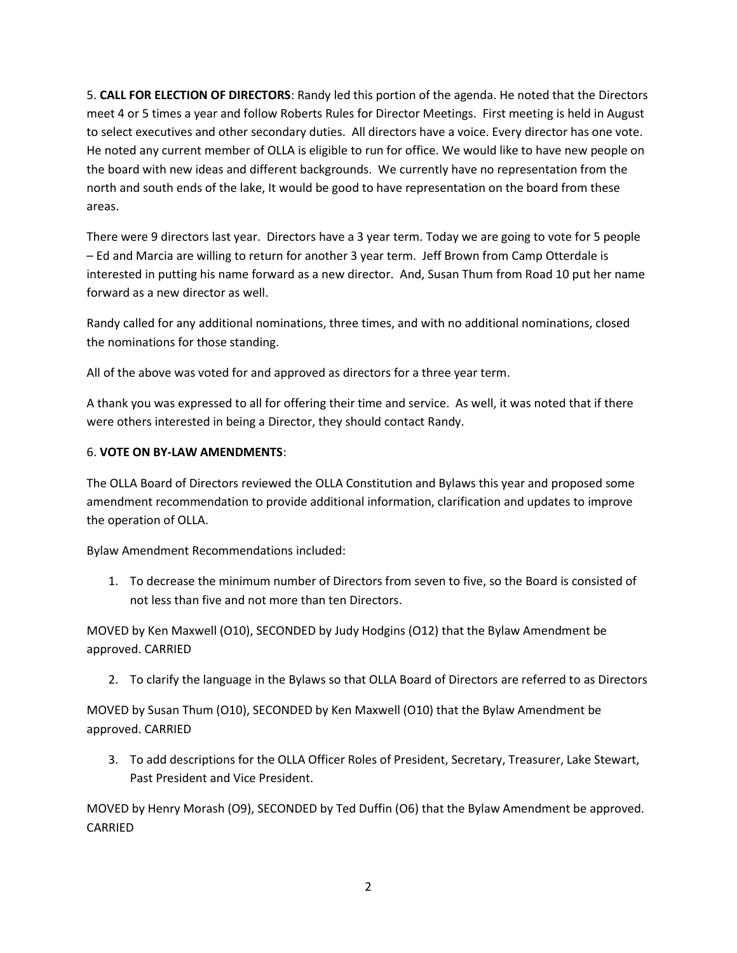5. **CALL FOR ELECTION OF DIRECTORS**: Randy led this portion of the agenda. He noted that the Directors meet 4 or 5 times a year and follow Roberts Rules for Director Meetings. First meeting is held in August to select executives and other secondary duties. All directors have a voice. Every director has one vote. He noted any current member of OLLA is eligible to run for office. We would like to have new people on the board with new ideas and different backgrounds. We currently have no representation from the north and south ends of the lake, It would be good to have representation on the board from these areas.

There were 9 directors last year. Directors have a 3 year term. Today we are going to vote for 5 people – Ed and Marcia are willing to return for another 3 year term. Jeff Brown from Camp Otterdale is interested in putting his name forward as a new director. And, Susan Thum from Road 10 put her name forward as a new director as well.

Randy called for any additional nominations, three times, and with no additional nominations, closed the nominations for those standing.

All of the above was voted for and approved as directors for a three year term.

A thank you was expressed to all for offering their time and service. As well, it was noted that if there were others interested in being a Director, they should contact Randy.

### 6. **VOTE ON BY-LAW AMENDMENTS**:

The OLLA Board of Directors reviewed the OLLA Constitution and Bylaws this year and proposed some amendment recommendation to provide additional information, clarification and updates to improve the operation of OLLA.

Bylaw Amendment Recommendations included:

1. To decrease the minimum number of Directors from seven to five, so the Board is consisted of not less than five and not more than ten Directors.

MOVED by Ken Maxwell (O10), SECONDED by Judy Hodgins (O12) that the Bylaw Amendment be approved. CARRIED

2. To clarify the language in the Bylaws so that OLLA Board of Directors are referred to as Directors

MOVED by Susan Thum (O10), SECONDED by Ken Maxwell (O10) that the Bylaw Amendment be approved. CARRIED

3. To add descriptions for the OLLA Officer Roles of President, Secretary, Treasurer, Lake Stewart, Past President and Vice President.

MOVED by Henry Morash (O9), SECONDED by Ted Duffin (O6) that the Bylaw Amendment be approved. CARRIED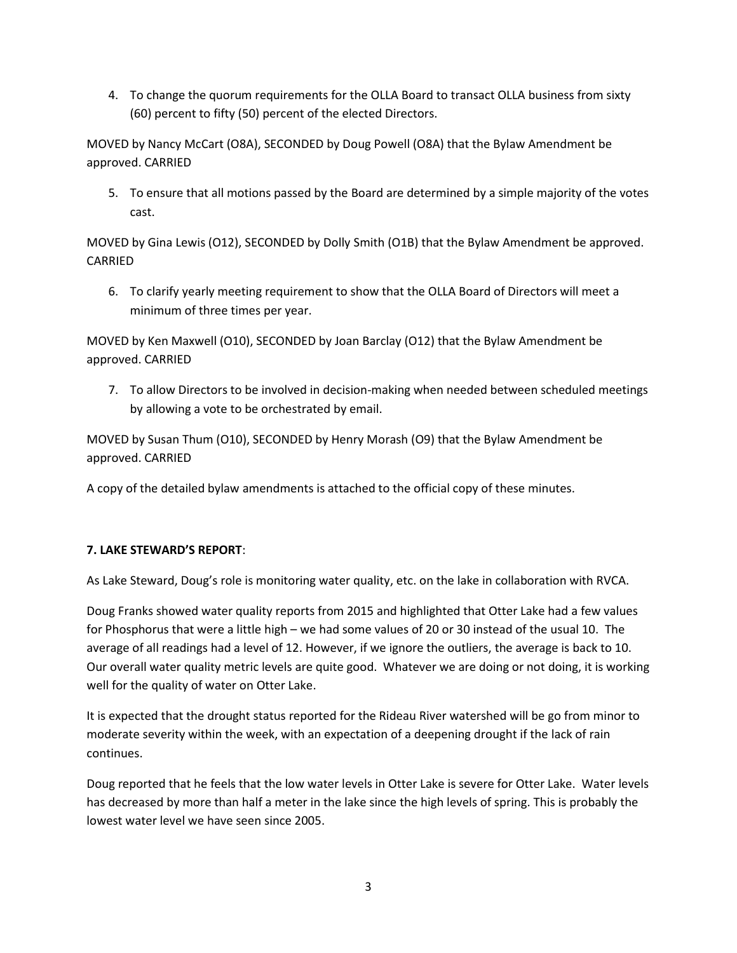4. To change the quorum requirements for the OLLA Board to transact OLLA business from sixty (60) percent to fifty (50) percent of the elected Directors.

MOVED by Nancy McCart (O8A), SECONDED by Doug Powell (O8A) that the Bylaw Amendment be approved. CARRIED

5. To ensure that all motions passed by the Board are determined by a simple majority of the votes cast.

MOVED by Gina Lewis (O12), SECONDED by Dolly Smith (O1B) that the Bylaw Amendment be approved. CARRIED

6. To clarify yearly meeting requirement to show that the OLLA Board of Directors will meet a minimum of three times per year.

MOVED by Ken Maxwell (O10), SECONDED by Joan Barclay (O12) that the Bylaw Amendment be approved. CARRIED

7. To allow Directors to be involved in decision-making when needed between scheduled meetings by allowing a vote to be orchestrated by email.

MOVED by Susan Thum (O10), SECONDED by Henry Morash (O9) that the Bylaw Amendment be approved. CARRIED

A copy of the detailed bylaw amendments is attached to the official copy of these minutes.

# **7. LAKE STEWARD'S REPORT**:

As Lake Steward, Doug's role is monitoring water quality, etc. on the lake in collaboration with RVCA.

Doug Franks showed water quality reports from 2015 and highlighted that Otter Lake had a few values for Phosphorus that were a little high – we had some values of 20 or 30 instead of the usual 10. The average of all readings had a level of 12. However, if we ignore the outliers, the average is back to 10. Our overall water quality metric levels are quite good. Whatever we are doing or not doing, it is working well for the quality of water on Otter Lake.

It is expected that the drought status reported for the Rideau River watershed will be go from minor to moderate severity within the week, with an expectation of a deepening drought if the lack of rain continues.

Doug reported that he feels that the low water levels in Otter Lake is severe for Otter Lake. Water levels has decreased by more than half a meter in the lake since the high levels of spring. This is probably the lowest water level we have seen since 2005.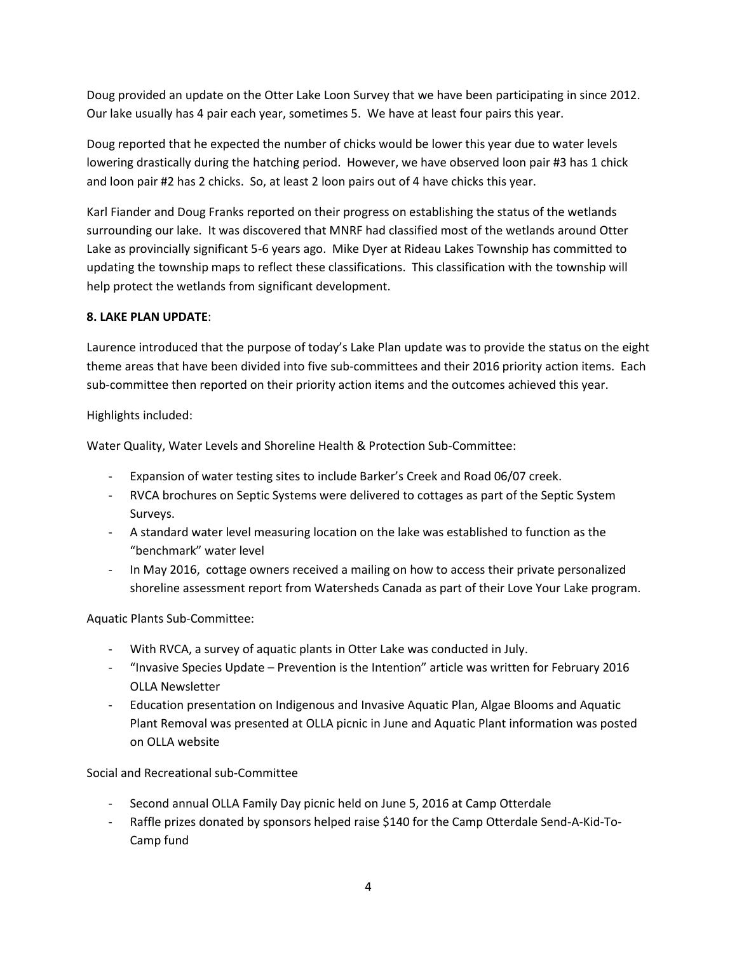Doug provided an update on the Otter Lake Loon Survey that we have been participating in since 2012. Our lake usually has 4 pair each year, sometimes 5. We have at least four pairs this year.

Doug reported that he expected the number of chicks would be lower this year due to water levels lowering drastically during the hatching period. However, we have observed loon pair #3 has 1 chick and loon pair #2 has 2 chicks. So, at least 2 loon pairs out of 4 have chicks this year.

Karl Fiander and Doug Franks reported on their progress on establishing the status of the wetlands surrounding our lake. It was discovered that MNRF had classified most of the wetlands around Otter Lake as provincially significant 5-6 years ago. Mike Dyer at Rideau Lakes Township has committed to updating the township maps to reflect these classifications. This classification with the township will help protect the wetlands from significant development.

# **8. LAKE PLAN UPDATE**:

Laurence introduced that the purpose of today's Lake Plan update was to provide the status on the eight theme areas that have been divided into five sub-committees and their 2016 priority action items. Each sub-committee then reported on their priority action items and the outcomes achieved this year.

Highlights included:

Water Quality, Water Levels and Shoreline Health & Protection Sub-Committee:

- Expansion of water testing sites to include Barker's Creek and Road 06/07 creek.
- RVCA brochures on Septic Systems were delivered to cottages as part of the Septic System Surveys.
- A standard water level measuring location on the lake was established to function as the "benchmark" water level
- In May 2016, cottage owners received a mailing on how to access their private personalized shoreline assessment report from Watersheds Canada as part of their Love Your Lake program.

Aquatic Plants Sub-Committee:

- With RVCA, a survey of aquatic plants in Otter Lake was conducted in July.
- "Invasive Species Update Prevention is the Intention" article was written for February 2016 OLLA Newsletter
- Education presentation on Indigenous and Invasive Aquatic Plan, Algae Blooms and Aquatic Plant Removal was presented at OLLA picnic in June and Aquatic Plant information was posted on OLLA website

Social and Recreational sub-Committee

- Second annual OLLA Family Day picnic held on June 5, 2016 at Camp Otterdale
- Raffle prizes donated by sponsors helped raise \$140 for the Camp Otterdale Send-A-Kid-To-Camp fund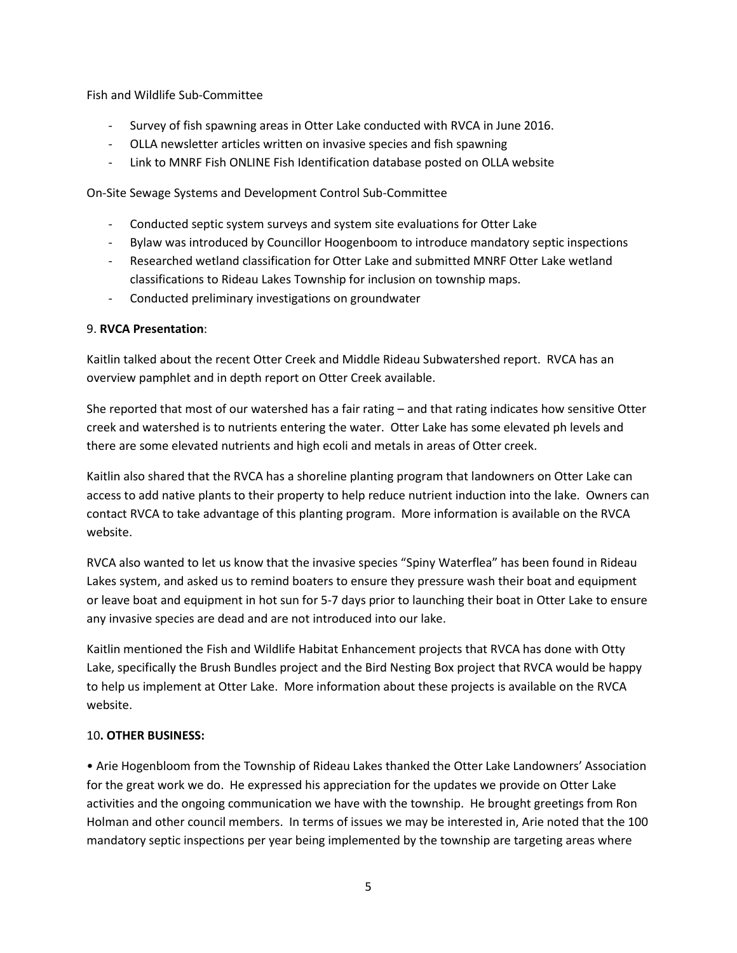Fish and Wildlife Sub-Committee

- Survey of fish spawning areas in Otter Lake conducted with RVCA in June 2016.
- OLLA newsletter articles written on invasive species and fish spawning
- Link to MNRF Fish ONLINE Fish Identification database posted on OLLA website

On-Site Sewage Systems and Development Control Sub-Committee

- Conducted septic system surveys and system site evaluations for Otter Lake
- Bylaw was introduced by Councillor Hoogenboom to introduce mandatory septic inspections
- Researched wetland classification for Otter Lake and submitted MNRF Otter Lake wetland classifications to Rideau Lakes Township for inclusion on township maps.
- Conducted preliminary investigations on groundwater

### 9. **RVCA Presentation**:

Kaitlin talked about the recent Otter Creek and Middle Rideau Subwatershed report. RVCA has an overview pamphlet and in depth report on Otter Creek available.

She reported that most of our watershed has a fair rating – and that rating indicates how sensitive Otter creek and watershed is to nutrients entering the water. Otter Lake has some elevated ph levels and there are some elevated nutrients and high ecoli and metals in areas of Otter creek.

Kaitlin also shared that the RVCA has a shoreline planting program that landowners on Otter Lake can access to add native plants to their property to help reduce nutrient induction into the lake. Owners can contact RVCA to take advantage of this planting program. More information is available on the RVCA website.

RVCA also wanted to let us know that the invasive species "Spiny Waterflea" has been found in Rideau Lakes system, and asked us to remind boaters to ensure they pressure wash their boat and equipment or leave boat and equipment in hot sun for 5-7 days prior to launching their boat in Otter Lake to ensure any invasive species are dead and are not introduced into our lake.

Kaitlin mentioned the Fish and Wildlife Habitat Enhancement projects that RVCA has done with Otty Lake, specifically the Brush Bundles project and the Bird Nesting Box project that RVCA would be happy to help us implement at Otter Lake. More information about these projects is available on the RVCA website.

# 10**. OTHER BUSINESS:**

• Arie Hogenbloom from the Township of Rideau Lakes thanked the Otter Lake Landowners' Association for the great work we do. He expressed his appreciation for the updates we provide on Otter Lake activities and the ongoing communication we have with the township. He brought greetings from Ron Holman and other council members. In terms of issues we may be interested in, Arie noted that the 100 mandatory septic inspections per year being implemented by the township are targeting areas where